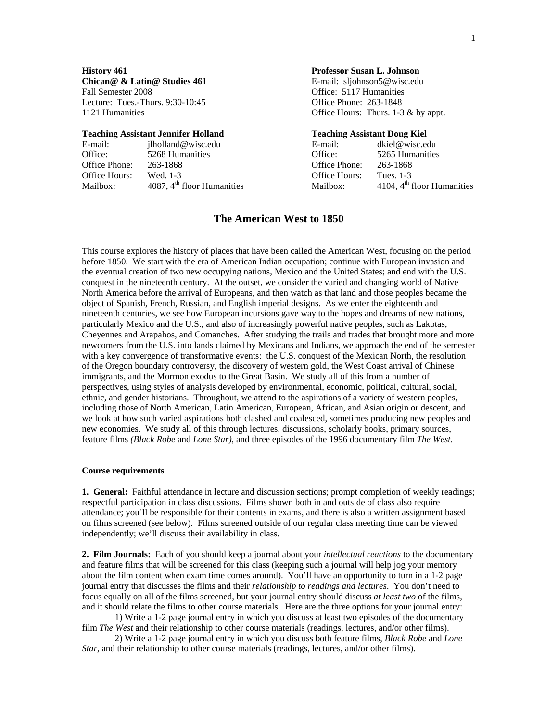**Chican@ & Latin@ Studies 461** E-mail: sljohnson5@wisc.edu Fall Semester 2008 **Contract Contract Contract Contract Contract Contract Contract Contract Contract Contract Contract Contract Contract Contract Contract Contract Contract Contract Contract Contract Contract Contract Cont** Lecture: Tues.-Thurs. 9:30-10:45 Office Phone: 263-1848

### **Teaching Assistant Jennifer Holland Teaching Assistant Doug Kiel**

| E-mail:       | ilholland@wisc.edu                     | E-mail:       | dkiel@wisc.edu               |
|---------------|----------------------------------------|---------------|------------------------------|
| Office:       | 5268 Humanities                        | Office:       | 5265 Humanities              |
| Office Phone: | 263-1868                               | Office Phone: | 263-1868                     |
| Office Hours: | Wed. 1-3                               | Office Hours: | Tues. 1-3                    |
| Mailbox:      | 4087, $4^{\text{th}}$ floor Humanities | Mailbox:      | 4104, $4th$ floor Humanities |

#### **History 461 Professor Susan L. Johnson**

1121 Humanities **Office Hours:** Thurs. 1-3 & by appt.

| E-mail:              | dkiel@wisc.edu                         |
|----------------------|----------------------------------------|
| <b>Office:</b>       | 5265 Humanities                        |
| Office Phone:        | 263-1868                               |
| <b>Office Hours:</b> | Tues. 1-3                              |
| Mailbox:             | 4104, 4 <sup>th</sup> floor Humanities |
|                      |                                        |

### **The American West to 1850**

This course explores the history of places that have been called the American West, focusing on the period before 1850. We start with the era of American Indian occupation; continue with European invasion and the eventual creation of two new occupying nations, Mexico and the United States; and end with the U.S. conquest in the nineteenth century. At the outset, we consider the varied and changing world of Native North America before the arrival of Europeans, and then watch as that land and those peoples became the object of Spanish, French, Russian, and English imperial designs. As we enter the eighteenth and nineteenth centuries, we see how European incursions gave way to the hopes and dreams of new nations, particularly Mexico and the U.S., and also of increasingly powerful native peoples, such as Lakotas, Cheyennes and Arapahos, and Comanches. After studying the trails and trades that brought more and more newcomers from the U.S. into lands claimed by Mexicans and Indians, we approach the end of the semester with a key convergence of transformative events: the U.S. conquest of the Mexican North, the resolution of the Oregon boundary controversy, the discovery of western gold, the West Coast arrival of Chinese immigrants, and the Mormon exodus to the Great Basin. We study all of this from a number of perspectives, using styles of analysis developed by environmental, economic, political, cultural, social, ethnic, and gender historians. Throughout, we attend to the aspirations of a variety of western peoples, including those of North American, Latin American, European, African, and Asian origin or descent, and we look at how such varied aspirations both clashed and coalesced, sometimes producing new peoples and new economies. We study all of this through lectures, discussions, scholarly books, primary sources, feature films *(Black Robe* and *Lone Star)*, and three episodes of the 1996 documentary film *The West*.

#### **Course requirements**

**1. General:** Faithful attendance in lecture and discussion sections; prompt completion of weekly readings; respectful participation in class discussions. Films shown both in and outside of class also require attendance; you'll be responsible for their contents in exams, and there is also a written assignment based on films screened (see below). Films screened outside of our regular class meeting time can be viewed independently; we'll discuss their availability in class.

**2. Film Journals:** Each of you should keep a journal about your *intellectual reactions* to the documentary and feature films that will be screened for this class (keeping such a journal will help jog your memory about the film content when exam time comes around). You'll have an opportunity to turn in a 1-2 page journal entry that discusses the films and their *relationship to readings and lectures*. You don't need to focus equally on all of the films screened, but your journal entry should discuss *at least two* of the films, and it should relate the films to other course materials. Here are the three options for your journal entry:

1) Write a 1-2 page journal entry in which you discuss at least two episodes of the documentary film *The West* and their relationship to other course materials (readings, lectures, and/or other films).

2) Write a 1-2 page journal entry in which you discuss both feature films, *Black Robe* and *Lone Star*, and their relationship to other course materials (readings, lectures, and/or other films).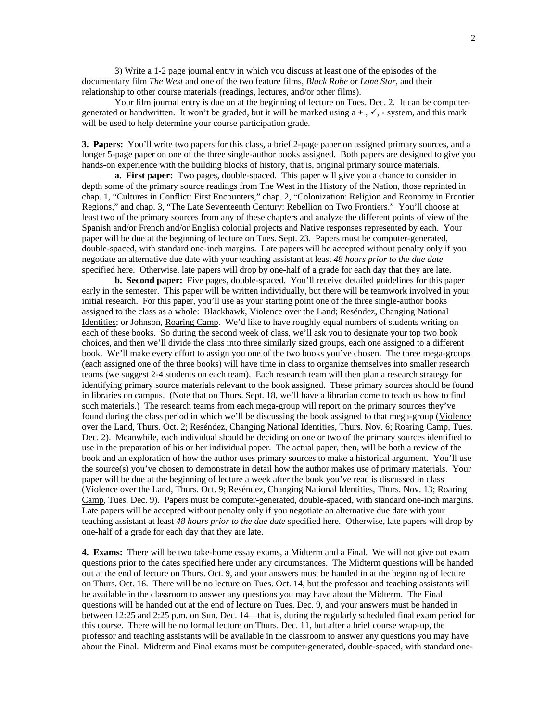3) Write a 1-2 page journal entry in which you discuss at least one of the episodes of the documentary film *The West* and one of the two feature films, *Black Robe* or *Lone Star,* and their relationship to other course materials (readings, lectures, and/or other films).

Your film journal entry is due on at the beginning of lecture on Tues. Dec. 2.It can be computergenerated or handwritten. It won't be graded, but it will be marked using  $a +$ ,  $\checkmark$ ,  $\checkmark$ , system, and this mark will be used to help determine your course participation grade.

**3. Papers:** You'll write two papers for this class, a brief 2-page paper on assigned primary sources, and a longer 5-page paper on one of the three single-author books assigned. Both papers are designed to give you hands-on experience with the building blocks of history, that is, original primary source materials.

**a. First paper:** Two pages, double-spaced. This paper will give you a chance to consider in depth some of the primary source readings from The West in the History of the Nation, those reprinted in chap. 1, "Cultures in Conflict: First Encounters," chap. 2, "Colonization: Religion and Economy in Frontier Regions," and chap. 3, "The Late Seventeenth Century: Rebellion on Two Frontiers." You'll choose at least two of the primary sources from any of these chapters and analyze the different points of view of the Spanish and/or French and/or English colonial projects and Native responses represented by each. Your paper will be due at the beginning of lecture on Tues. Sept. 23.Papers must be computer-generated, double-spaced, with standard one-inch margins. Late papers will be accepted without penalty only if you negotiate an alternative due date with your teaching assistant at least *48 hours prior to the due date* specified here. Otherwise, late papers will drop by one-half of a grade for each day that they are late.

**b. Second paper:** Five pages, double-spaced. You'll receive detailed guidelines for this paper early in the semester. This paper will be written individually, but there will be teamwork involved in your initial research. For this paper, you'll use as your starting point one of the three single-author books assigned to the class as a whole: Blackhawk, Violence over the Land; Reséndez, Changing National Identities; or Johnson, Roaring Camp. We'd like to have roughly equal numbers of students writing on each of these books. So during the second week of class, we'll ask you to designate your top two book choices, and then we'll divide the class into three similarly sized groups, each one assigned to a different book. We'll make every effort to assign you one of the two books you've chosen. The three mega-groups (each assigned one of the three books) will have time in class to organize themselves into smaller research teams (we suggest 2-4 students on each team). Each research team will then plan a research strategy for identifying primary source materials relevant to the book assigned. These primary sources should be found in libraries on campus. (Note that on Thurs. Sept. 18, we'll have a librarian come to teach us how to find such materials.) The research teams from each mega-group will report on the primary sources they've found during the class period in which we'll be discussing the book assigned to that mega-group (Violence over the Land, Thurs. Oct. 2; Reséndez, Changing National Identities, Thurs. Nov. 6; Roaring Camp, Tues. Dec. 2). Meanwhile, each individual should be deciding on one or two of the primary sources identified to use in the preparation of his or her individual paper. The actual paper, then, will be both a review of the book and an exploration of how the author uses primary sources to make a historical argument. You'll use the source(s) you've chosen to demonstrate in detail how the author makes use of primary materials. Your paper will be due at the beginning of lecture a week after the book you've read is discussed in class (Violence over the Land, Thurs. Oct. 9; Reséndez, Changing National Identities, Thurs. Nov. 13; Roaring Camp, Tues. Dec. 9). Papers must be computer-generated, double-spaced, with standard one-inch margins. Late papers will be accepted without penalty only if you negotiate an alternative due date with your teaching assistant at least *48 hours prior to the due date* specified here. Otherwise, late papers will drop by one-half of a grade for each day that they are late.

**4. Exams:** There will be two take-home essay exams, a Midterm and a Final. We will not give out exam questions prior to the dates specified here under any circumstances. The Midterm questions will be handed out at the end of lecture on Thurs. Oct. 9, and your answers must be handed in at the beginning of lecture on Thurs. Oct. 16. There will be no lecture on Tues. Oct. 14, but the professor and teaching assistants will be available in the classroom to answer any questions you may have about the Midterm. The Final questions will be handed out at the end of lecture on Tues. Dec. 9, and your answers must be handed in between 12:25 and 2:25 p.m. on Sun. Dec. 14—that is, during the regularly scheduled final exam period for this course. There will be no formal lecture on Thurs. Dec. 11, but after a brief course wrap-up, the professor and teaching assistants will be available in the classroom to answer any questions you may have about the Final. Midterm and Final exams must be computer-generated, double-spaced, with standard one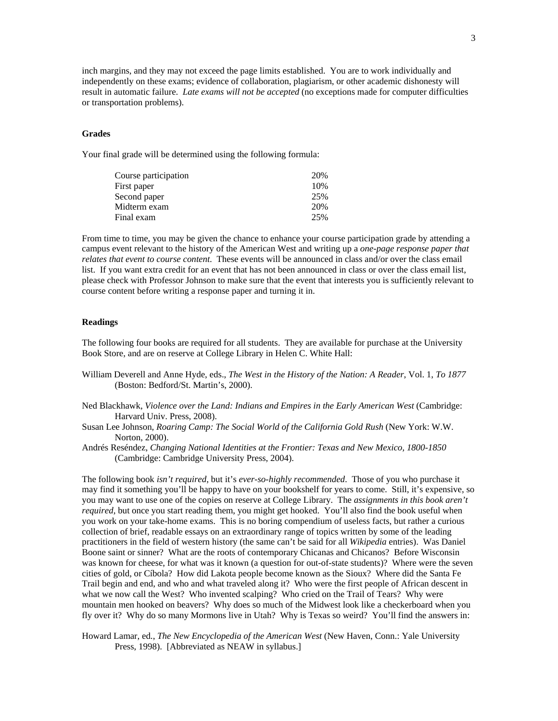inch margins, and they may not exceed the page limits established. You are to work individually and independently on these exams; evidence of collaboration, plagiarism, or other academic dishonesty will result in automatic failure. *Late exams will not be accepted* (no exceptions made for computer difficulties or transportation problems).

#### **Grades**

Your final grade will be determined using the following formula:

| Course participation | 20% |
|----------------------|-----|
| First paper          | 10% |
| Second paper         | 25% |
| Midterm exam         | 20% |
| Final exam           | 25% |

From time to time, you may be given the chance to enhance your course participation grade by attending a campus event relevant to the history of the American West and writing up a *one-page response paper that relates that event to course content*. These events will be announced in class and/or over the class email list. If you want extra credit for an event that has not been announced in class or over the class email list, please check with Professor Johnson to make sure that the event that interests you is sufficiently relevant to course content before writing a response paper and turning it in.

#### **Readings**

The following four books are required for all students. They are available for purchase at the University Book Store, and are on reserve at College Library in Helen C. White Hall:

William Deverell and Anne Hyde, eds., *The West in the History of the Nation: A Reader*, Vol. 1, *To 1877* (Boston: Bedford/St. Martin's, 2000).

Ned Blackhawk, *Violence over the Land: Indians and Empires in the Early American West* (Cambridge: Harvard Univ. Press, 2008).

- Susan Lee Johnson, *Roaring Camp: The Social World of the California Gold Rush* (New York: W.W. Norton, 2000).
- Andrés Reséndez, *Changing National Identities at the Frontier: Texas and New Mexico, 1800-1850* (Cambridge: Cambridge University Press, 2004).

The following book *isn't required*, but it's *ever-so-highly recommended*. Those of you who purchase it may find it something you'll be happy to have on your bookshelf for years to come. Still, it's expensive, so you may want to use one of the copies on reserve at College Library. The *assignments in this book aren't required*, but once you start reading them, you might get hooked. You'll also find the book useful when you work on your take-home exams. This is no boring compendium of useless facts, but rather a curious collection of brief, readable essays on an extraordinary range of topics written by some of the leading practitioners in the field of western history (the same can't be said for all *Wikipedia* entries). Was Daniel Boone saint or sinner? What are the roots of contemporary Chicanas and Chicanos? Before Wisconsin was known for cheese, for what was it known (a question for out-of-state students)? Where were the seven cities of gold, or Cíbola? How did Lakota people become known as the Sioux? Where did the Santa Fe Trail begin and end, and who and what traveled along it? Who were the first people of African descent in what we now call the West? Who invented scalping? Who cried on the Trail of Tears? Why were mountain men hooked on beavers? Why does so much of the Midwest look like a checkerboard when you fly over it? Why do so many Mormons live in Utah? Why is Texas so weird? You'll find the answers in:

Howard Lamar, ed., *The New Encyclopedia of the American West* (New Haven, Conn.: Yale University Press, 1998). [Abbreviated as NEAW in syllabus.]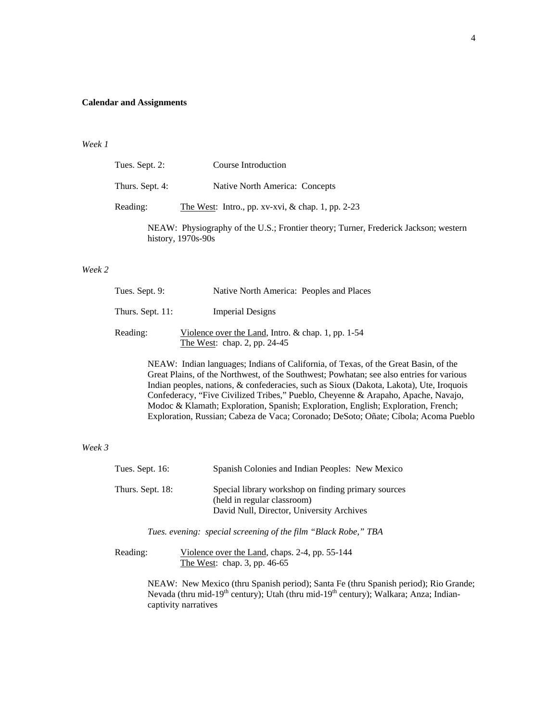### **Calendar and Assignments**

#### *Week 1*

| Tues. Sept. 2:  | Course Introduction                                                                                       |
|-----------------|-----------------------------------------------------------------------------------------------------------|
| Thurs. Sept. 4: | Native North America: Concepts                                                                            |
| Reading:        | The West: Intro., pp. xv-xvi, $\&$ chap. 1, pp. 2-23                                                      |
|                 | NEAW: Physiography of the U.S.; Frontier theory; Turner, Frederick Jackson; western<br>history, 1970s-90s |

## *Week 2*

| Tues. Sept. 9:   | Native North America: Peoples and Places                                               |
|------------------|----------------------------------------------------------------------------------------|
| Thurs. Sept. 11: | <b>Imperial Designs</b>                                                                |
| Reading:         | Violence over the Land, Intro. $&$ chap. 1, pp. 1-54<br>The West: chap. 2, pp. $24-45$ |

NEAW: Indian languages; Indians of California, of Texas, of the Great Basin, of the Great Plains, of the Northwest, of the Southwest; Powhatan; see also entries for various Indian peoples, nations, & confederacies, such as Sioux (Dakota, Lakota), Ute, Iroquois Confederacy, "Five Civilized Tribes," Pueblo, Cheyenne & Arapaho, Apache, Navajo, Modoc & Klamath; Exploration, Spanish; Exploration, English; Exploration, French; Exploration, Russian; Cabeza de Vaca; Coronado; DeSoto; Oñate; Cíbola; Acoma Pueblo

#### *Week 3*

| Tues. Sept. 16:  | Spanish Colonies and Indian Peoples: New Mexico                                                                                 |
|------------------|---------------------------------------------------------------------------------------------------------------------------------|
| Thurs. Sept. 18: | Special library workshop on finding primary sources<br>(held in regular classroom)<br>David Null, Director, University Archives |

 *Tues. evening: special screening of the film "Black Robe," TBA* 

Reading: Violence over the Land, chaps. 2-4, pp. 55-144 The West: chap. 3, pp. 46-65

> NEAW: New Mexico (thru Spanish period); Santa Fe (thru Spanish period); Rio Grande; Nevada (thru mid-19<sup>th</sup> century); Utah (thru mid-19<sup>th</sup> century); Walkara; Anza; Indiancaptivity narratives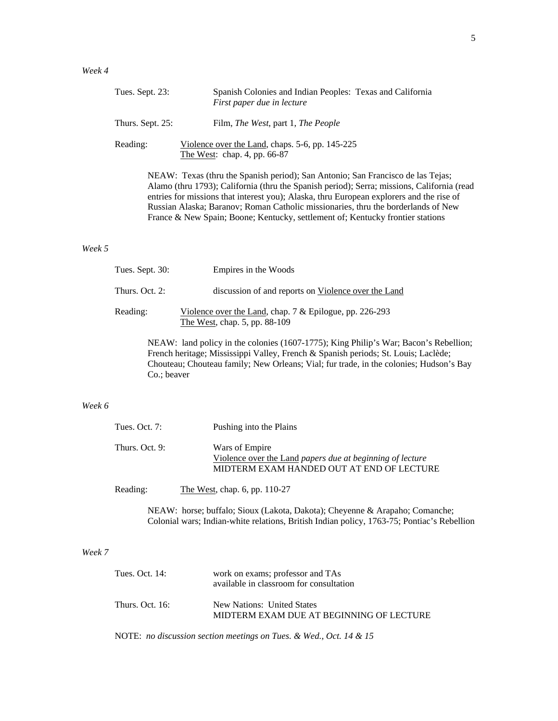| Tues. Sept. 23:  | Spanish Colonies and Indian Peoples: Texas and California<br>First paper due in lecture                                                                                                                 |
|------------------|---------------------------------------------------------------------------------------------------------------------------------------------------------------------------------------------------------|
| Thurs. Sept. 25: | Film, <i>The West</i> , part 1, <i>The People</i>                                                                                                                                                       |
| Reading:         | Violence over the Land, chaps. 5-6, pp. 145-225<br>The West: chap. 4, pp. 66-87                                                                                                                         |
|                  | NEAW: Texas (thru the Spanish period); San Antonio; San Francisco de las Tejas;<br>$\lambda$ 1 (1 1700) $\alpha$ 1' (1 1 $\alpha$ ) 1 $\alpha$ ) 1 $\alpha$ ) $\alpha$ ) $\alpha$ ) $\alpha$ ) $\alpha$ |

Alamo (thru 1793); California (thru the Spanish period); Serra; missions, California (read entries for missions that interest you); Alaska, thru European explorers and the rise of Russian Alaska; Baranov; Roman Catholic missionaries, thru the borderlands of New France & New Spain; Boone; Kentucky, settlement of; Kentucky frontier stations

#### *Week 5*

| Tues. Sept. $30:$ | Empires in the Woods                                                                       |
|-------------------|--------------------------------------------------------------------------------------------|
| Thurs. Oct. 2:    | discussion of and reports on Violence over the Land                                        |
| Reading:          | Violence over the Land, chap. $7 &$ Epilogue, pp. 226-293<br>The West, chap. 5, pp. 88-109 |
|                   | $NFAW1$ land policy in the colonies (1607-1775); King Philin's War; Bacon's Rebell         |

NEAW: land policy in the colonies (1607-1775); King Philip's War; Bacon's Rebellion; French heritage; Mississippi Valley, French & Spanish periods; St. Louis; Laclède; Chouteau; Chouteau family; New Orleans; Vial; fur trade, in the colonies; Hudson's Bay Co.; beaver

## *Week 6*

| Tues. Oct. $7:$ | Pushing into the Plains                                                                                                  |
|-----------------|--------------------------------------------------------------------------------------------------------------------------|
| Thurs. Oct. 9:  | Wars of Empire<br>Violence over the Land papers due at beginning of lecture<br>MIDTERM EXAM HANDED OUT AT END OF LECTURE |

Reading: The West, chap. 6, pp. 110-27

NEAW: horse; buffalo; Sioux (Lakota, Dakota); Cheyenne & Arapaho; Comanche; Colonial wars; Indian-white relations, British Indian policy, 1763-75; Pontiac's Rebellion

## *Week 7*

| Tues. Oct. 14:  | work on exams; professor and TAs<br>available in classroom for consultation |
|-----------------|-----------------------------------------------------------------------------|
| Thurs. Oct. 16: | New Nations: United States<br>MIDTERM EXAM DUE AT BEGINNING OF LECTURE      |

NOTE: *no discussion section meetings on Tues. & Wed., Oct. 14 & 15*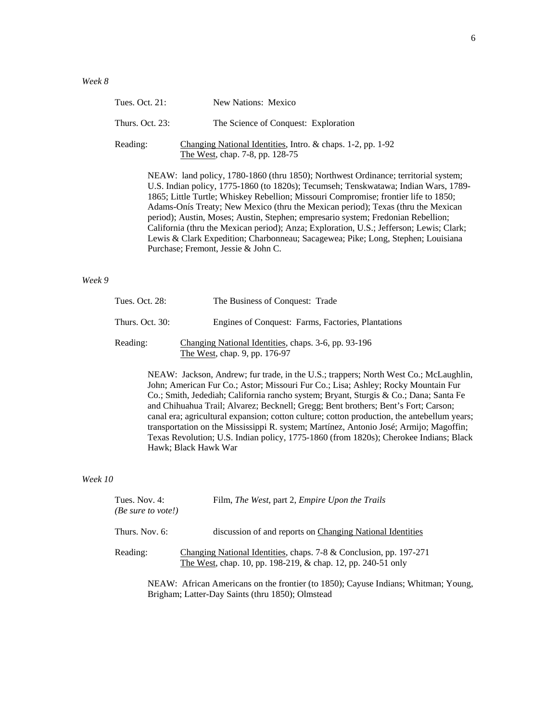| Tues. Oct. 21:     | New Nations: Mexico                                                                                                                                                                                                                                                                                                                                                                                                                                                                                                                                                                                                     |
|--------------------|-------------------------------------------------------------------------------------------------------------------------------------------------------------------------------------------------------------------------------------------------------------------------------------------------------------------------------------------------------------------------------------------------------------------------------------------------------------------------------------------------------------------------------------------------------------------------------------------------------------------------|
| Thurs. Oct. $23$ : | The Science of Conquest: Exploration                                                                                                                                                                                                                                                                                                                                                                                                                                                                                                                                                                                    |
| Reading:           | Changing National Identities, Intro. & chaps. 1-2, pp. 1-92<br>The West, chap. 7-8, pp. 128-75                                                                                                                                                                                                                                                                                                                                                                                                                                                                                                                          |
|                    | NEAW: land policy, 1780-1860 (thru 1850); Northwest Ordinance; territorial system;<br>U.S. Indian policy, 1775-1860 (to 1820s); Tecumseh; Tenskwatawa; Indian Wars, 1789-<br>1865; Little Turtle; Whiskey Rebellion; Missouri Compromise; frontier life to 1850;<br>Adams-Onís Treaty; New Mexico (thru the Mexican period); Texas (thru the Mexican<br>period); Austin, Moses; Austin, Stephen; empresario system; Fredonian Rebellion;<br>California (thru the Mexican period); Anza; Exploration, U.S.; Jefferson; Lewis; Clark;<br>Lewis & Clark Expedition; Charbonneau; Sacagewea; Pike; Long, Stephen; Louisiana |

### *Week 9*

| Tues. Oct. 28:  | The Business of Conquest: Trade                                                       |
|-----------------|---------------------------------------------------------------------------------------|
| Thurs. Oct. 30: | Engines of Conquest: Farms, Factories, Plantations                                    |
| Reading:        | Changing National Identities, chaps. 3-6, pp. 93-196<br>The West, chap. 9, pp. 176-97 |

Purchase; Fremont, Jessie & John C.

NEAW: Jackson, Andrew; fur trade, in the U.S.; trappers; North West Co.; McLaughlin, John; American Fur Co.; Astor; Missouri Fur Co.; Lisa; Ashley; Rocky Mountain Fur Co.; Smith, Jedediah; California rancho system; Bryant, Sturgis & Co.; Dana; Santa Fe and Chihuahua Trail; Alvarez; Becknell; Gregg; Bent brothers; Bent's Fort; Carson; canal era; agricultural expansion; cotton culture; cotton production, the antebellum years; transportation on the Mississippi R. system; Martínez, Antonio José; Armijo; Magoffin; Texas Revolution; U.S. Indian policy, 1775-1860 (from 1820s); Cherokee Indians; Black Hawk; Black Hawk War

#### *Week 10*

| Tues. Nov. 4:<br>(Be sure to vote!) | Film, The West, part 2, Empire Upon the Trails                                                                                     |
|-------------------------------------|------------------------------------------------------------------------------------------------------------------------------------|
| Thurs. Nov. 6:                      | discussion of and reports on Changing National Identities                                                                          |
| Reading:                            | Changing National Identities, chaps. 7-8 & Conclusion, pp. 197-271<br>The West, chap. 10, pp. 198-219, & chap. 12, pp. 240-51 only |

NEAW: African Americans on the frontier (to 1850); Cayuse Indians; Whitman; Young, Brigham; Latter-Day Saints (thru 1850); Olmstead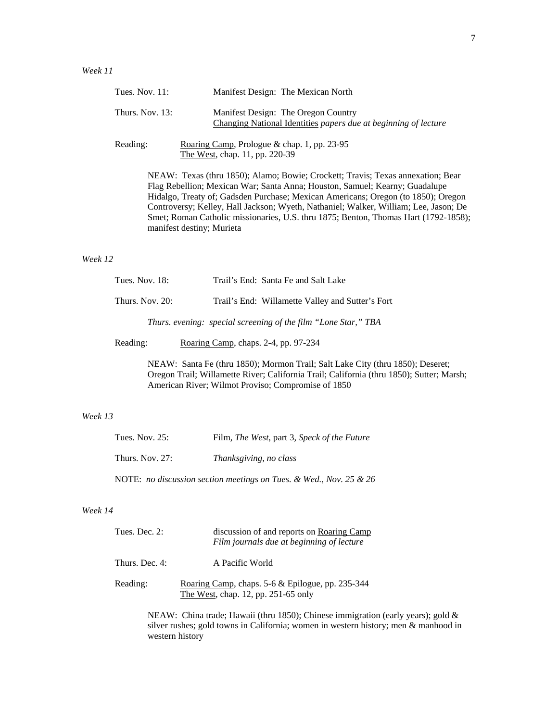| Tues. Nov. $11$ : | Manifest Design: The Mexican North                                                                                                                                                                                                                                                                                                                                                                                                                              |
|-------------------|-----------------------------------------------------------------------------------------------------------------------------------------------------------------------------------------------------------------------------------------------------------------------------------------------------------------------------------------------------------------------------------------------------------------------------------------------------------------|
| Thurs. Nov. 13:   | Manifest Design: The Oregon Country<br>Changing National Identities papers due at beginning of lecture                                                                                                                                                                                                                                                                                                                                                          |
| Reading:          | Roaring Camp, Prologue & chap. 1, pp. 23-95<br>The West, chap. 11, pp. 220-39                                                                                                                                                                                                                                                                                                                                                                                   |
|                   | NEAW: Texas (thru 1850); Alamo; Bowie; Crockett; Travis; Texas annexation; Bear<br>Flag Rebellion; Mexican War; Santa Anna; Houston, Samuel; Kearny; Guadalupe<br>Hidalgo, Treaty of; Gadsden Purchase; Mexican Americans; Oregon (to 1850); Oregon<br>Controversy; Kelley, Hall Jackson; Wyeth, Nathaniel; Walker, William; Lee, Jason; De<br>Smet; Roman Catholic missionaries, U.S. thru 1875; Benton, Thomas Hart (1792-1858);<br>manifest destiny; Murieta |

#### *Week 12*

| <b>Tues. Nov. 18:</b> | Trail's End: Santa Fe and Salt Lake                            |
|-----------------------|----------------------------------------------------------------|
| Thurs. Nov. 20:       | Trail's End: Willamette Valley and Sutter's Fort               |
|                       | Thurs. evening: special screening of the film "Lone Star," TBA |
| Reading:              | Roaring Camp, chaps. 2-4, pp. 97-234                           |

NEAW: Santa Fe (thru 1850); Mormon Trail; Salt Lake City (thru 1850); Deseret; Oregon Trail; Willamette River; California Trail; California (thru 1850); Sutter; Marsh; American River; Wilmot Proviso; Compromise of 1850

## *Week 13*

| Tues. Nov. 25:     | Film, The West, part 3, Speck of the Future                        |
|--------------------|--------------------------------------------------------------------|
| Thurs. Nov. $27$ : | <i>Thanksgiving, no class</i>                                      |
|                    | NOTE: no discussion section meetings on Tues. & Wed., Nov. 25 & 26 |

## *Week 14*

| Tues. Dec. $2$ : | discussion of and reports on Roaring Camp<br>Film journals due at beginning of lecture      |
|------------------|---------------------------------------------------------------------------------------------|
| Thurs. Dec. 4:   | A Pacific World                                                                             |
| Reading:         | Roaring Camp, chaps. $5-6$ & Epilogue, pp. 235-344<br>The West, chap. 12, pp. $251-65$ only |

NEAW: China trade; Hawaii (thru 1850); Chinese immigration (early years); gold & silver rushes; gold towns in California; women in western history; men & manhood in western history